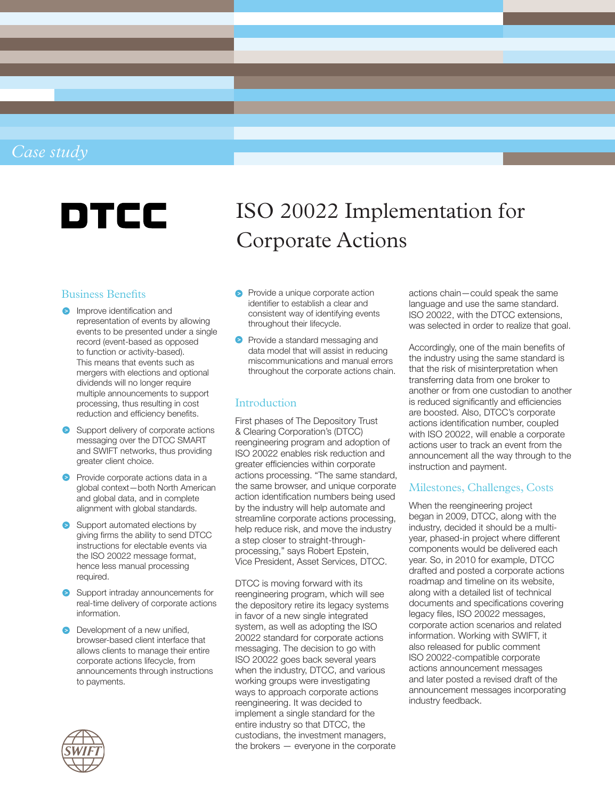# *Case study*

# DTCC

# Business Benefits

- **Improve identification and** representation of events by allowing events to be presented under a single record (event-based as opposed to function or activity-based). This means that events such as mergers with elections and optional dividends will no longer require multiple announcements to support processing, thus resulting in cost reduction and efficiency benefits.
- Support delivery of corporate actions messaging over the DTCC SMART and SWIFT networks, thus providing greater client choice.
- **P** Provide corporate actions data in a global context—both North American and global data, and in complete alignment with global standards.
- Support automated elections by giving firms the ability to send DTCC instructions for electable events via the ISO 20022 message format, hence less manual processing required.
- Support intraday announcements for real-time delivery of corporate actions information.
- **Development of a new unified.** browser-based client interface that allows clients to manage their entire corporate actions lifecycle, from announcements through instructions to payments.



# ISO 20022 Implementation for Corporate Actions

- Provide a unique corporate action identifier to establish a clear and consistent way of identifying events throughout their lifecycle.
- **P** Provide a standard messaging and data model that will assist in reducing miscommunications and manual errors throughout the corporate actions chain.

#### Introduction

First phases of The Depository Trust & Clearing Corporation's (DTCC) reengineering program and adoption of ISO 20022 enables risk reduction and greater efficiencies within corporate actions processing. "The same standard, the same browser, and unique corporate action identification numbers being used by the industry will help automate and streamline corporate actions processing, help reduce risk, and move the industry a step closer to straight-throughprocessing," says Robert Epstein, Vice President, Asset Services, DTCC.

DTCC is moving forward with its reengineering program, which will see the depository retire its legacy systems in favor of a new single integrated system, as well as adopting the ISO 20022 standard for corporate actions messaging. The decision to go with ISO 20022 goes back several years when the industry, DTCC, and various working groups were investigating ways to approach corporate actions reengineering. It was decided to implement a single standard for the entire industry so that DTCC, the custodians, the investment managers, the brokers — everyone in the corporate

actions chain—could speak the same language and use the same standard. ISO 20022, with the DTCC extensions, was selected in order to realize that goal.

Accordingly, one of the main benefits of the industry using the same standard is that the risk of misinterpretation when transferring data from one broker to another or from one custodian to another is reduced significantly and efficiencies are boosted. Also, DTCC's corporate actions identification number, coupled with ISO 20022, will enable a corporate actions user to track an event from the announcement all the way through to the instruction and payment.

# Milestones, Challenges, Costs

When the reengineering project began in 2009, DTCC, along with the industry, decided it should be a multiyear, phased-in project where different components would be delivered each year. So, in 2010 for example, DTCC drafted and posted a corporate actions roadmap and timeline on its website, along with a detailed list of technical documents and specifications covering legacy files, ISO 20022 messages, corporate action scenarios and related information. Working with SWIFT, it also released for public comment ISO 20022-compatible corporate actions announcement messages and later posted a revised draft of the announcement messages incorporating industry feedback.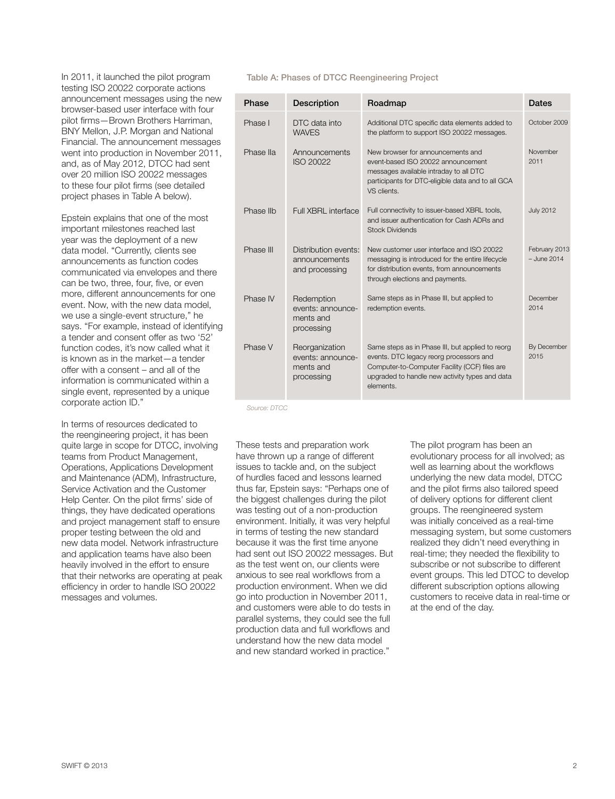In 2011, it launched the pilot program testing ISO 20022 corporate actions announcement messages using the new browser-based user interface with four pilot firms—Brown Brothers Harriman, BNY Mellon, J.P. Morgan and National Financial. The announcement messages went into production in November 2011, and, as of May 2012, DTCC had sent over 20 million ISO 20022 messages to these four pilot firms (see detailed project phases in Table A below).

Epstein explains that one of the most important milestones reached last year was the deployment of a new data model. "Currently, clients see announcements as function codes communicated via envelopes and there can be two, three, four, five, or even more, different announcements for one event. Now, with the new data model, we use a single-event structure," he says. "For example, instead of identifying a tender and consent offer as two '52' function codes, it's now called what it is known as in the market—a tender offer with a consent – and all of the information is communicated within a single event, represented by a unique corporate action ID."

In terms of resources dedicated to the reengineering project, it has been quite large in scope for DTCC, involving teams from Product Management, Operations, Applications Development and Maintenance (ADM), Infrastructure, Service Activation and the Customer Help Center. On the pilot firms' side of things, they have dedicated operations and project management staff to ensure proper testing between the old and new data model. Network infrastructure and application teams have also been heavily involved in the effort to ensure that their networks are operating at peak efficiency in order to handle ISO 20022 messages and volumes.

#### Table A: Phases of DTCC Reengineering Project

| Phase     | <b>Description</b>                                             | Roadmap                                                                                                                                                                                                     | <b>Dates</b>                   |
|-----------|----------------------------------------------------------------|-------------------------------------------------------------------------------------------------------------------------------------------------------------------------------------------------------------|--------------------------------|
| Phase I   | DTC data into<br><b>WAVES</b>                                  | Additional DTC specific data elements added to<br>the platform to support ISO 20022 messages.                                                                                                               | October 2009                   |
| Phase IIa | Announcements<br>ISO 20022                                     | New browser for announcements and<br>event-based ISO 20022 announcement<br>messages available intraday to all DTC<br>participants for DTC-eligible data and to all GCA<br>VS clients.                       | November<br>2011               |
| Phase IIb | Full XBRL interface                                            | Full connectivity to issuer-based XBRL tools,<br>and issuer authentication for Cash ADRs and<br><b>Stock Dividends</b>                                                                                      | <b>July 2012</b>               |
| Phase III | Distribution events:<br>announcements<br>and processing        | New customer user interface and ISO 20022<br>messaging is introduced for the entire lifecycle<br>for distribution events, from announcements<br>through elections and payments.                             | February 2013<br>$-$ June 2014 |
| Phase IV  | Redemption<br>events: announce-<br>ments and<br>processing     | Same steps as in Phase III, but applied to<br>redemption events.                                                                                                                                            | December<br>2014               |
| Phase V   | Reorganization<br>events: announce-<br>ments and<br>processing | Same steps as in Phase III, but applied to reorg<br>events. DTC legacy reorg processors and<br>Computer-to-Computer Facility (CCF) files are<br>upgraded to handle new activity types and data<br>elements. | By December<br>2015            |

*Source: DTCC*

These tests and preparation work have thrown up a range of different issues to tackle and, on the subject of hurdles faced and lessons learned thus far, Epstein says: "Perhaps one of the biggest challenges during the pilot was testing out of a non-production environment. Initially, it was very helpful in terms of testing the new standard because it was the first time anyone had sent out ISO 20022 messages. But as the test went on, our clients were anxious to see real workflows from a production environment. When we did go into production in November 2011, and customers were able to do tests in parallel systems, they could see the full production data and full workflows and understand how the new data model and new standard worked in practice."

The pilot program has been an evolutionary process for all involved; as well as learning about the workflows underlying the new data model, DTCC and the pilot firms also tailored speed of delivery options for different client groups. The reengineered system was initially conceived as a real-time messaging system, but some customers realized they didn't need everything in real-time; they needed the flexibility to subscribe or not subscribe to different event groups. This led DTCC to develop different subscription options allowing customers to receive data in real-time or at the end of the day.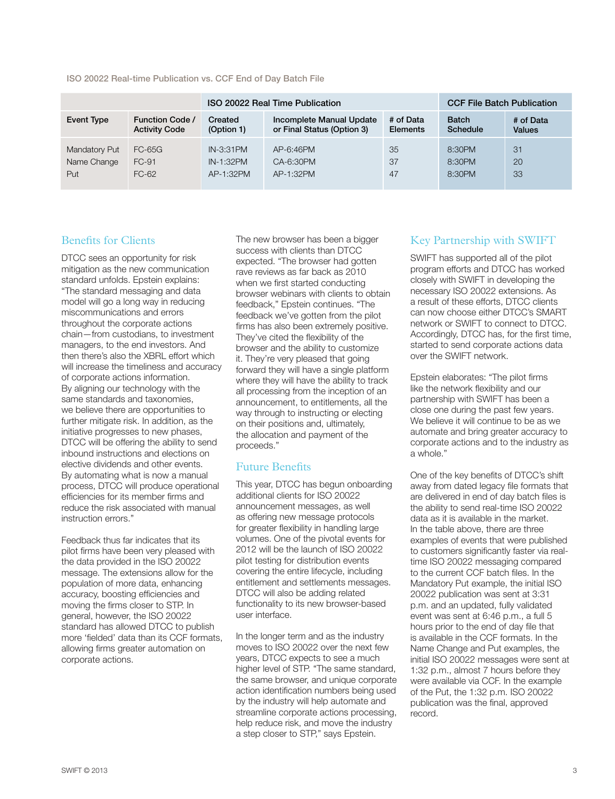|                   |                        | ISO 20022 Real Time Publication |                            |                 | <b>CCF File Batch Publication</b> |               |
|-------------------|------------------------|---------------------------------|----------------------------|-----------------|-----------------------------------|---------------|
| <b>Event Type</b> | <b>Function Code /</b> | Created                         | Incomplete Manual Update   | # of Data       | <b>Batch</b>                      | # of Data     |
|                   | <b>Activity Code</b>   | (Option 1)                      | or Final Status (Option 3) | <b>Elements</b> | Schedule                          | <b>Values</b> |
| Mandatory Put     | FC-65G                 | $IN-3:31PM$                     | AP-6:46PM                  | 35              | 8:30PM                            | 31            |
| Name Change       | FC-91                  | IN-1:32PM                       | CA-6:30PM                  | 37              | 8:30PM                            | 20            |
| Put               | FC-62                  | AP-1:32PM                       | AP-1:32PM                  | 47              | 8:30PM                            | 33            |

#### ISO 20022 Real-time Publication vs. CCF End of Day Batch File

#### Benefits for Clients

DTCC sees an opportunity for risk mitigation as the new communication standard unfolds. Epstein explains: "The standard messaging and data model will go a long way in reducing miscommunications and errors throughout the corporate actions chain—from custodians, to investment managers, to the end investors. And then there's also the XBRL effort which will increase the timeliness and accuracy of corporate actions information. By aligning our technology with the same standards and taxonomies, we believe there are opportunities to further mitigate risk. In addition, as the initiative progresses to new phases, DTCC will be offering the ability to send inbound instructions and elections on elective dividends and other events. By automating what is now a manual process, DTCC will produce operational efficiencies for its member firms and reduce the risk associated with manual instruction errors."

Feedback thus far indicates that its pilot firms have been very pleased with the data provided in the ISO 20022 message. The extensions allow for the population of more data, enhancing accuracy, boosting efficiencies and moving the firms closer to STP. In general, however, the ISO 20022 standard has allowed DTCC to publish more 'fielded' data than its CCF formats, allowing firms greater automation on corporate actions.

The new browser has been a bigger success with clients than DTCC expected. "The browser had gotten rave reviews as far back as 2010 when we first started conducting browser webinars with clients to obtain feedback," Epstein continues. "The feedback we've gotten from the pilot firms has also been extremely positive. They've cited the flexibility of the browser and the ability to customize it. They're very pleased that going forward they will have a single platform where they will have the ability to track all processing from the inception of an announcement, to entitlements, all the way through to instructing or electing on their positions and, ultimately, the allocation and payment of the proceeds."

#### Future Benefits

This year, DTCC has begun onboarding additional clients for ISO 20022 announcement messages, as well as offering new message protocols for greater flexibility in handling large volumes. One of the pivotal events for 2012 will be the launch of ISO 20022 pilot testing for distribution events covering the entire lifecycle, including entitlement and settlements messages. DTCC will also be adding related functionality to its new browser-based user interface.

In the longer term and as the industry moves to ISO 20022 over the next few years, DTCC expects to see a much higher level of STP. "The same standard, the same browser, and unique corporate action identification numbers being used by the industry will help automate and streamline corporate actions processing, help reduce risk, and move the industry a step closer to STP," says Epstein.

# Key Partnership with SWIFT

SWIFT has supported all of the pilot program efforts and DTCC has worked closely with SWIFT in developing the necessary ISO 20022 extensions. As a result of these efforts, DTCC clients can now choose either DTCC's SMART network or SWIFT to connect to DTCC. Accordingly, DTCC has, for the first time, started to send corporate actions data over the SWIFT network.

Epstein elaborates: "The pilot firms like the network flexibility and our partnership with SWIFT has been a close one during the past few years. We believe it will continue to be as we automate and bring greater accuracy to corporate actions and to the industry as a whole."

One of the key benefits of DTCC's shift away from dated legacy file formats that are delivered in end of day batch files is the ability to send real-time ISO 20022 data as it is available in the market. In the table above, there are three examples of events that were published to customers significantly faster via realtime ISO 20022 messaging compared to the current CCF batch files. In the Mandatory Put example, the initial ISO 20022 publication was sent at 3:31 p.m. and an updated, fully validated event was sent at 6:46 p.m., a full 5 hours prior to the end of day file that is available in the CCF formats. In the Name Change and Put examples, the initial ISO 20022 messages were sent at 1:32 p.m., almost 7 hours before they were available via CCF. In the example of the Put, the 1:32 p.m. ISO 20022 publication was the final, approved record.